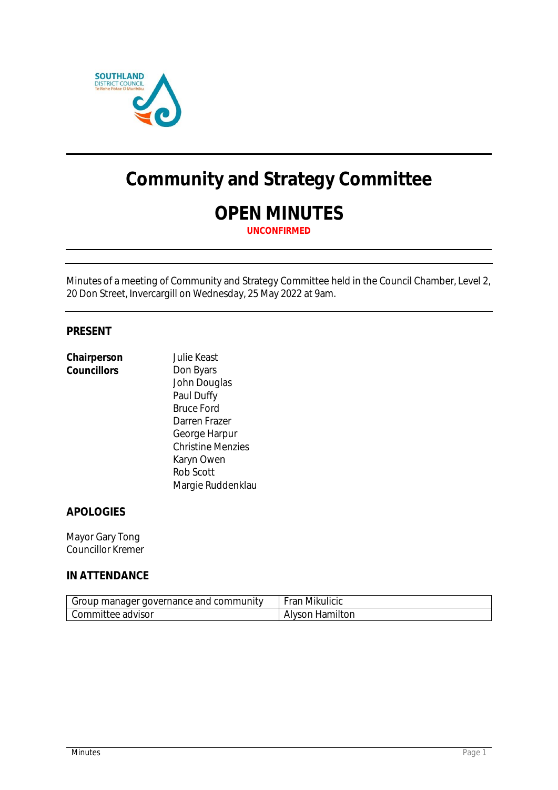

# **Community and Strategy Committee**

# **OPEN MINUTES**

**UNCONFIRMED**

Minutes of a meeting of Community and Strategy Committee held in the Council Chamber, Level 2, 20 Don Street, Invercargill on Wednesday, 25 May 2022 at 9am.

### **PRESENT**

| Chairperson | <b>Julie Keast</b>       |
|-------------|--------------------------|
| Councillors | Don Byars                |
|             | John Douglas             |
|             | Paul Duffy               |
|             | <b>Bruce Ford</b>        |
|             | Darren Frazer            |
|             | George Harpur            |
|             | <b>Christine Menzies</b> |
|             | Karyn Owen               |
|             | Rob Scott                |
|             | Margie Ruddenklau        |

# **APOLOGIES**

Mayor Gary Tong Councillor Kremer

# **IN ATTENDANCE**

| Group manager governance and community | Fran Mikulicic  |
|----------------------------------------|-----------------|
| Committee advisor                      | Alyson Hamilton |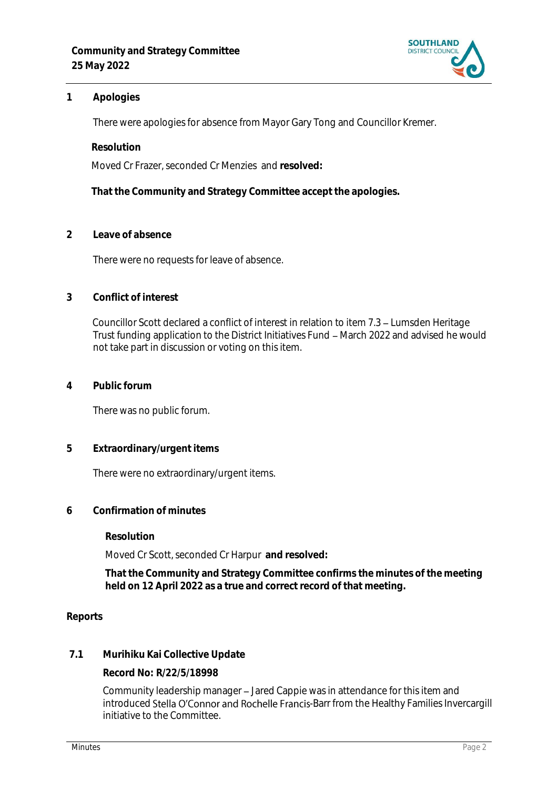

# **1 Apologies**

There were apologies for absence from Mayor Gary Tong and Councillor Kremer.

**Resolution**

Moved Cr Frazer, seconded Cr Menzies and **resolved:**

**That the Community and Strategy Committee accept the apologies.**

**2 Leave of absence** 

There were no requests for leave of absence.

#### **3 Conflict of interest**

Councillor Scott declared a conflict of interest in relation to item 7.3 - Lumsden Heritage Trust funding application to the District Initiatives Fund – March 2022 and advised he would not take part in discussion or voting on this item.

**4 Public forum**

There was no public forum.

**5 Extraordinary/urgent items**

There were no extraordinary/urgent items.

**6 Confirmation of minutes**

**Resolution**

Moved Cr Scott, seconded Cr Harpur **and resolved:**

**That the Community and Strategy Committee confirms the minutes of the meeting held on 12 April 2022 as a true and correct record of that meeting.**

#### **Reports**

**7.1 Murihiku Kai Collective Update**

**Record No: R/22/5/18998**

Community leadership manager - Jared Cappie was in attendance for this item and introduced Stella O'Connor and Rochelle Francis-Barr from the Healthy Families Invercargill initiative to the Committee.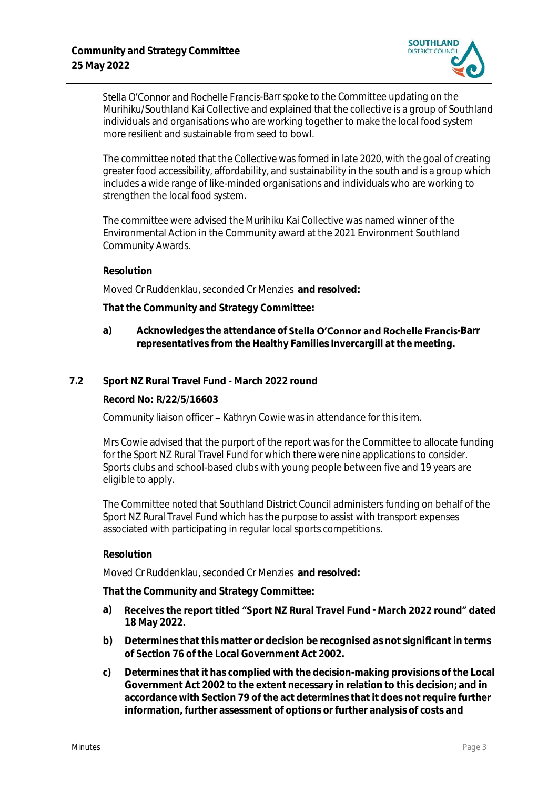

Stella O'Connor and Rochelle Francis-Barr spoke to the Committee updating on the Murihiku/Southland Kai Collective and explained that the collective is a group of Southland individuals and organisations who are working together to make the local food system more resilient and sustainable from seed to bowl.

The committee noted that the Collective was formed in late 2020, with the goal of creating greater food accessibility, affordability, and sustainability in the south and is a group which includes a wide range of like-minded organisations and individuals who are working to strengthen the local food system.

The committee were advised the Murihiku Kai Collective was named winner of the Environmental Action in the Community award at the 2021 Environment Southland Community Awards.

#### **Resolution**

Moved Cr Ruddenklau, seconded Cr Menzies **and resolved:**

**That the Community and Strategy Committee:**

a) Acknowledges the attendance of **Stella O'Connor and Rochelle Francis**-Barr **representatives from the Healthy Families Invercargill at the meeting.**

#### **7.2 Sport NZ Rural Travel Fund - March 2022 round**

**Record No: R/22/5/16603**

Community liaison officer – Kathryn Cowie was in attendance for this item.

Mrs Cowie advised that the purport of the report was for the Committee to allocate funding for the Sport NZ Rural Travel Fund for which there were nine applications to consider. Sports clubs and school-based clubs with young people between five and 19 years are eligible to apply.

The Committee noted that Southland District Council administers funding on behalf of the Sport NZ Rural Travel Fund which has the purpose to assist with transport expenses associated with participating in regular local sports competitions.

#### **Resolution**

Moved Cr Ruddenklau, seconded Cr Menzies **and resolved:**

**That the Community and Strategy Committee:**

- a) Receives the report titled "Sport NZ Rural Travel Fund March 2022 round" dated **18 May 2022.**
- **b) Determines that this matter or decision be recognised as not significant in terms of Section 76 of the Local Government Act 2002.**
- **c) Determines that it has complied with the decision-making provisions of the Local Government Act 2002 to the extent necessary in relation to this decision; and in accordance with Section 79 of the act determines that it does not require further information, further assessment of options or further analysis of costs and**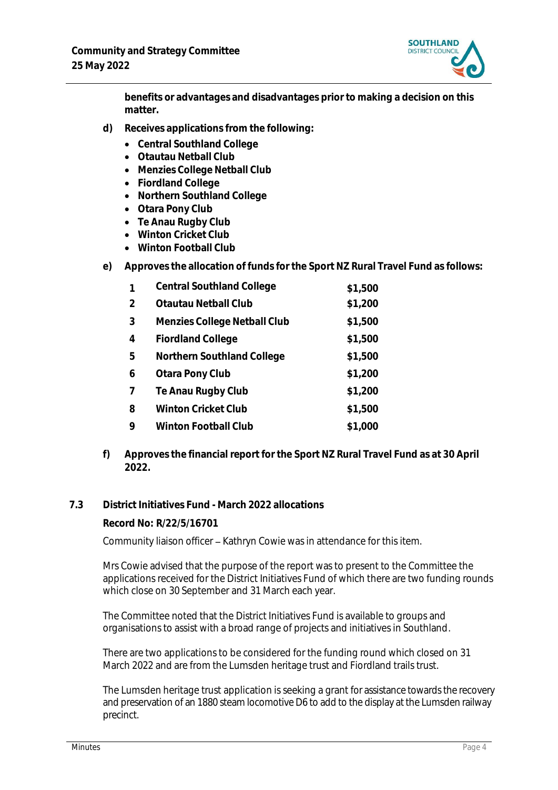

**benefits or advantages and disadvantages prior to making a decision on this matter.**

- **d) Receives applications from the following:**
	- **Central Southland College**
	- **Otautau Netball Club**
	- **Menzies College Netball Club**
	- **Fiordland College**
	- **Northern Southland College**
	- **Otara Pony Club**
	- **Te Anau Rugby Club**
	- **Winton Cricket Club**
	- **Winton Football Club**
- **e) Approves the allocation of funds for the Sport NZ Rural Travel Fund as follows:**

| $\mathbf 1$ | <b>Central Southland College</b> | \$1,500 |
|-------------|----------------------------------|---------|
| 2           | Otautau Netball Club             | \$1,200 |
| 3           | Menzies College Netball Club     | \$1,500 |
| 4           | <b>Fiordland College</b>         | \$1,500 |
| 5           | Northern Southland College       | \$1,500 |
| 6           | Otara Pony Club                  | \$1,200 |
| 7           | Te Anau Rugby Club               | \$1,200 |
| 8           | Winton Cricket Club              | \$1,500 |
| 9           | Winton Football Club             | \$1,000 |

- **f) Approves the financial report for the Sport NZ Rural Travel Fund as at 30 April 2022.**
- **7.3 District Initiatives Fund - March 2022 allocations**

# **Record No: R/22/5/16701**

Community liaison officer - Kathryn Cowie was in attendance for this item.

Mrs Cowie advised that the purpose of the report was to present to the Committee the applications received for the District Initiatives Fund of which there are two funding rounds which close on 30 September and 31 March each year.

The Committee noted that the District Initiatives Fund is available to groups and organisations to assist with a broad range of projects and initiatives in Southland.

There are two applications to be considered for the funding round which closed on 31 March 2022 and are from the Lumsden heritage trust and Fiordland trails trust.

The Lumsden heritage trust application is seeking a grant for assistance towards the recovery and preservation of an 1880 steam locomotive D6 to add to the display at the Lumsden railway precinct.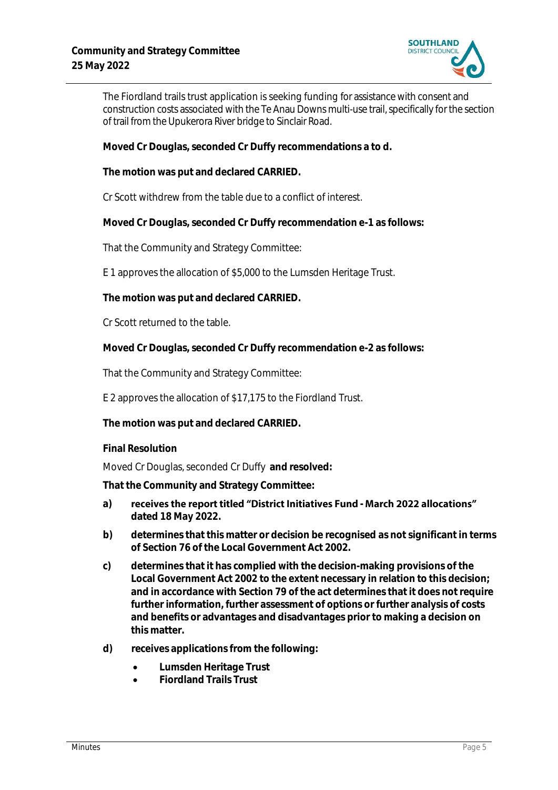

The Fiordland trails trust application is seeking funding for assistance with consent and construction costs associated with the Te Anau Downs multi-use trail, specifically for the section of trail from the Upukerora River bridge to Sinclair Road.

**Moved Cr Douglas, seconded Cr Duffy recommendations a to d.**

**The motion was put and declared CARRIED.**

Cr Scott withdrew from the table due to a conflict of interest.

**Moved Cr Douglas, seconded Cr Duffy recommendation e-1 as follows:**

That the Community and Strategy Committee:

E 1 approves the allocation of \$5,000 to the Lumsden Heritage Trust.

**The motion was put and declared CARRIED.**

Cr Scott returned to the table.

**Moved Cr Douglas, seconded Cr Duffy recommendation e-2 as follows:**

That the Community and Strategy Committee:

E 2 approves the allocation of \$17,175 to the Fiordland Trust.

**The motion was put and declared CARRIED.**

**Final Resolution**

Moved Cr Douglas, seconded Cr Duffy **and resolved:**

**That the Community and Strategy Committee:**

- a) receives the report titled "District Initiatives Fund March 2022 allocations" **dated 18 May 2022.**
- **b) determines that this matter or decision be recognised as not significant in terms of Section 76 of the Local Government Act 2002.**
- **c) determines that it has complied with the decision-making provisions of the Local Government Act 2002 to the extent necessary in relation to this decision; and in accordance with Section 79 of the act determines that it does not require further information, further assessment of options or further analysis of costs and benefits or advantages and disadvantages prior to making a decision on this matter.**
- **d) receives applications from the following:**
	- **Lumsden Heritage Trust**
	- **Fiordland Trails Trust**